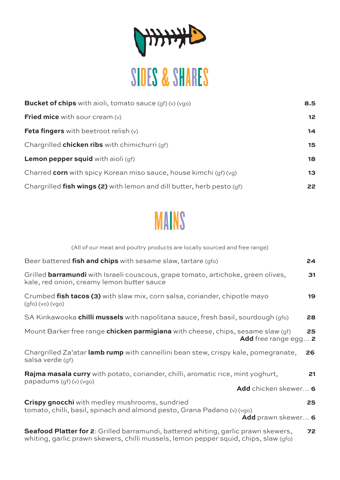

| <b>Bucket of chips</b> with aioli, tomato sauce $(gf)(v)(vgo)$           | 8.5 |
|--------------------------------------------------------------------------|-----|
| <b>Fried mice</b> with sour cream $(v)$                                  | 12  |
| <b>Feta fingers</b> with beetroot relish $(v)$                           | 14  |
| Chargrilled <b>chicken ribs</b> with chimichurri (qf)                    | 15  |
| <b>Lemon pepper squid</b> with aioli $(qf)$                              | 18  |
| Charred corn with spicy Korean miso sauce, house kimchi (gf) (vg)        | 13  |
| Chargrilled fish wings (2) with lemon and dill butter, herb pesto $(qf)$ | 22  |



| (All of our meat and poultry products are locally sourced and free range)                                                                       |    |
|-------------------------------------------------------------------------------------------------------------------------------------------------|----|
| Beer battered fish and chips with sesame slaw, tartare (gfo)                                                                                    | 24 |
| Grilled barramundi with Israeli couscous, grape tomato, artichoke, green olives,<br>kale, red onion, creamy lemon butter sauce                  | 31 |
| Crumbed fish tacos (3) with slaw mix, corn salsa, coriander, chipotle mayo<br>(gfo)(vo)(vgo)                                                    | 19 |
| SA Kinkawooka <b>chilli mussels</b> with napolitana sauce, fresh basil, sourdough (gfo)                                                         | 28 |
| Mount Barker free range <b>chicken parmigiana</b> with cheese, chips, sesame slaw (gf)<br>Add free range egg 2                                  | 25 |
| Chargrilled Za'atar lamb rump with cannellini bean stew, crispy kale, pomegranate,<br>salsa verde (qf)                                          | 26 |
| Rajma masala curry with potato, coriander, chilli, aromatic rice, mint yoghurt,<br>papadums (gf) (v) (vgo)                                      | 21 |
| Add chicken skewer 6                                                                                                                            |    |
| Crispy gnocchi with medley mushrooms, sundried<br>tomato, chilli, basil, spinach and almond pesto, Grana Padano (v) (vgo)<br>Add prawn skewer 6 | 25 |
| <b>Seafood Platter for 2:</b> Grilled barramundi, battered whiting, garlic prawn skewers,                                                       | 72 |

whiting, garlic prawn skewers, chilli mussels, lemon pepper squid, chips, slaw (gfo)